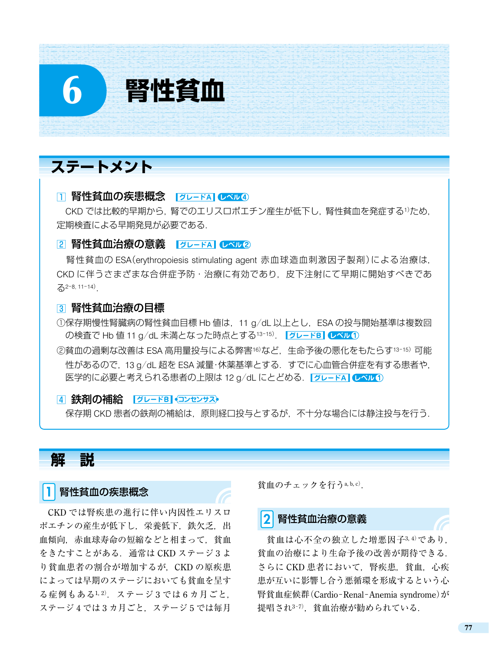# **ステートメント**

#### □ 腎性貧血の疾患概念 | グレードA| レベル4)

6 **腎性貧血**

CKD では比較的早期から、腎でのエリスロポエチン産生が低下し、腎性貧血を発症する1)ため, 定期検査による早期発見が必要である.

#### 2 腎性貧血治療の意義 | グレードA| レベル2)

腎性貧血の ESA(erythropoiesis stimulating agent 赤血球造血刺激因子製剤)による治療は, CKD に伴うさまざまな合併症予防・治療に有効であり,皮下注射にて早期に開始すべきであ  $52-8, 11-14$ .

#### 3 腎性貧血治療の目標

①保存期慢性腎臓病の腎性貧血目標 Hb 値は,11 g/dL 以上とし,ESA の投与開始基準は複数回 の検査で Hb 値 11 g/dL 未満となった時点とする13-15). レントドB レベル1

23貧血の過剰な改善は ESA 高用量投与による弊害16)など、生命予後の悪化をもたらす13-15) 可能 性があるので,13 g/dL 超を ESA 減量・休薬基準とする.すでに心血管合併症を有する患者や, 医学的に必要と考えられる患者の上限は 12 g/dL にとどめる. | グレードA | レベル1)

#### [4] 鉄剤の補給 | グレードB マンセンサス)

保存期 CKD 患者の鉄剤の補給は,原則経口投与とするが,不十分な場合には静注投与を行う.

### **解 説**

#### 1 腎性貧血の疾患概念

CKD では腎疾患の進行に伴い内因性エリスロ ポエチンの産生が低下し,栄養低下,鉄欠乏,出 血傾向,赤血球寿命の短縮などと相まって,貧血 をきたすことがある.通常は CKD ステージ 3 よ り貧血患者の割合が増加するが、CKD の原疾患 によっては早期のステージにおいても貧血を呈す る症例もある1,2). ステージ3では6カ月ごと, ステージ4では3カ月ごと、ステージ5では毎月

貧血のチェックを行うa, b, <sup>c</sup>).

#### 2 腎性貧血治療の意義

貧血は心不全の独立した増悪因子3,4)であり, 貧血の治療により生命予後の改善が期待できる. さらに CKD 患者において、腎疾患、貧血, 心疾 患が互いに影響し合う悪循環を形成するという心 腎貧血症候群(Cardio-Renal-Anemia syndrome)が 提唱され3-7). 貧血治療が勧められている.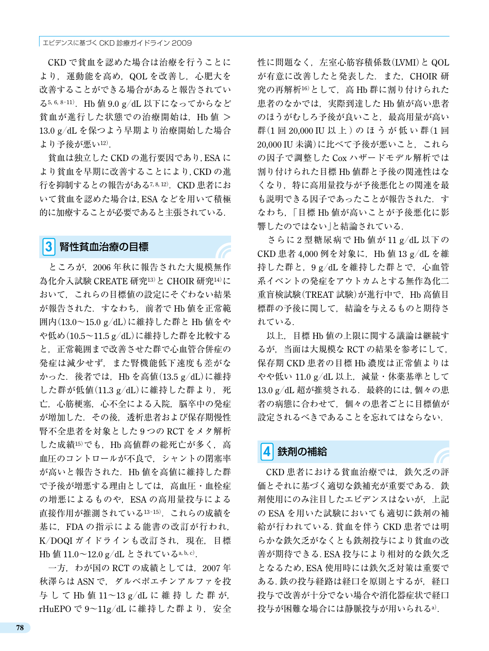CKD で貧血を認めた場合は治療を行うことに より,運動能を高め,QOL を改善し,心肥大を 改善することができる場合があると報告されてい る5, 6, <sup>8</sup>-<sup>11</sup>).Hb 値 9.0 g/dL 以下になってからなど 貧血が進行した状態での治療開始は,Hb 値 > 13.0 g/dL を保つよう早期より治療開始した場合 より予後が悪い12).

貧血は独立した CKD の進行要因であり,ESA に より貧血を早期に改善することにより,CKD の進 行を抑制するとの報告がある7,8,12). CKD 患者にお いて貧血を認めた場合は,ESA などを用いて積極 的に加療することが必要であると主張されている.

#### 3 腎性貧血治療の目標

ところが,2006 年秋に報告された大規模無作 為化介入試験 CREATE 研究13)と CHOIR 研究14)に おいて,これらの目標値の設定にそぐわない結果 が報告された.すなわち,前者で Hb 値を正常範 囲内(13.0~15.0 g/dL)に維持した群と Hb 値をや や低め(10.5~11.5 g/dL)に維持した群を比較する と,正常範囲まで改善させた群で心血管合併症の 発症は減少せず,また腎機能低下速度も差がな かった.後者では,Hb を高値(13.5 g/dL)に維持 した群が低値 $(11.3 \text{ g}/\text{dL})$ に維持した群より、死 亡,心筋梗塞,心不全による入院,脳卒中の発症 が増加した.その後,透析患者および保存期慢性 腎不全患者を対象とした 9 つの RCT をメタ解析 した成績15)でも、Hb 高値群の総死亡が多く, 高 血圧のコントロールが不良で,シャントの閉塞率 が高いと報告された.Hb 値を高値に維持した群 で予後が増悪する理由としては,高血圧・血栓症 の増悪によるものや, ESA の高用量投与による 直接作用が推測されている<sup>13</sup>-<sup>15</sup>).これらの成績を 基に,FDA の指示による能書の改訂が行われ, K/DOQI ガイドラインも改訂され,現在,目標 Hb 値 11.0~12.0 g/dL とされているa, b, c).

一方, わが国の RCT の成績としては, 2007年 秋澤らは ASN で,ダルベポエチンアルファを投 与して Hb 値 11~13 g/dL に 維 持 し た 群 が, rHuEPO で 9~11g/dL に維持した群より、安全 性に問題なく,左室心筋容積係数(LVMI)と QOL が有意に改善したと発表した.また,CHOIR 研 究の再解析16)として、高 Hb 群に割り付けられた 患者のなかでは、実際到達した Hb 値が高い患者 のほうがむしろ予後が良いこと、最高用量が高い 群(1回 20,000 IU 以 上)の ほうが 低 い 群(1回 20,000 IU 未満)に比べて予後が悪いこと、これら の因子で調整した Cox ハザードモデル解析では 割り付けられた目標 Hb 値群と予後の関連性はな くなり、特に高用量投与が予後悪化との関連を最 も説明できる因子であったことが報告された.す なわち,「目標 Hb 値が高いことが予後悪化に影 響したのではない」と結論されている.

さらに 2 型糖尿病で Hb 値が 11 g/dL 以下の CKD 患者 4,000 例を対象に,Hb 値 13 g/dL を維 持した群と,9g/dL を維持した群とで、心血管 系イベントの発症をアウトカムとする無作為化二 重盲検試験(TREAT 試験)が進行中で,Hb 高値目 標群の予後に関して,結論を与えるものと期待さ れている.

以上,目標 Hb 値の上限に関する議論は継続す るが,当面は大規模な RCT の結果を参考にして, 保存期 CKD 患者の目標 Hb 濃度は正常値よりは やや低い 11.0 g/dL 以上, 減量·休薬基準として 13.0 g/dL 超が推奨される. 最終的には, 個々の患 者の病態に合わせて,個々の患者ごとに目標値が 設定されるべきであることを忘れてはならない.

### 鉄剤の補給

CKD 患者における貧血治療では、鉄欠乏の評 価とそれに基づく適切な鉄補充が重要である. 鉄 剤使用にのみ注目したエビデンスはないが,上記 の ESA を用いた試験においても適切に鉄剤の補 給が行われている.貧血を伴う CKD 患者では明 らかな鉄欠乏がなくとも鉄剤投与により貧血の改 善が期待できる.ESA 投与により相対的な鉄欠乏 となるため,ESA 使用時には鉄欠乏対策は重要で ある. 鉄の投与経路は経口を原則とするが、経口 投与で改善が十分でない場合や消化器症状で経口 投与が困難な場合には静脈投与が用いられるa).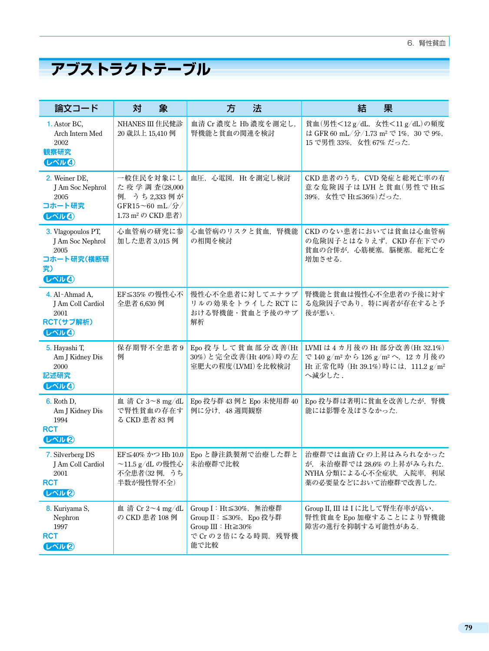# **アブストラクトテーブル**

| 論文コード                                                                      | 象<br>対                                                                                       | 法<br>方                                                                                              | 結<br>果                                                                                                                                               |
|----------------------------------------------------------------------------|----------------------------------------------------------------------------------------------|-----------------------------------------------------------------------------------------------------|------------------------------------------------------------------------------------------------------------------------------------------------------|
| 1. Astor BC,<br>Arch Intern Med<br>2002<br>観察研究<br>しべル4                    | NHANES III 住民健診<br>20 歳以上 15,410 例                                                           | 血清 Cr 濃度と Hb 濃度を測定し,<br>腎機能と貧血の関連を検討                                                                | 貧血(男性<12g/dL, 女性<11g/dL)の頻度<br>は GFR 60 mL/分/1.73 m <sup>2</sup> で 1%, 30 で 9%,<br>15 で男性 33%, 女性 67% だった.                                           |
| 2. Weiner DE,<br>J Am Soc Nephrol<br>2005<br>コホート研究<br>しべルイ                | 一般住民を対象にし<br>た疫学調査(28,000<br>例. うち2,333例が<br>GFR15~60 mL/分/<br>1.73 m <sup>2</sup> の CKD 患者) | 血圧, 心電図, Ht を測定し検討                                                                                  | CKD 患者のうち、CVD 発症と総死亡率の有<br>意な危険因子は LVH と貧血(男性で Ht≦<br>39%, 女性で Ht≦36%)だった.                                                                           |
| 3. Vlagopoulos PT,<br>J Am Soc Nephrol<br>2005<br>コホート研究(横断研<br>究)<br>しべルイ | 心血管病の研究に参<br>加した患者 3,015 例                                                                   | 心血管病のリスクと貧血, 腎機能<br>の相関を検討                                                                          | CKDのない患者においては貧血は心血管病<br>の危険因子とはなりえず、CKD存在下での<br>貧血の合併が、心筋梗塞, 脳梗塞, 総死亡を<br>増加させる.                                                                     |
| 4. Al-Ahmad A,<br>J Am Coll Cardiol<br>2001<br>RCT(サブ解析)<br>しべルの           | EF≦35%の慢性心不<br>全患者 6,630 例                                                                   | 慢性心不全患者に対してエナラプ<br>リルの効果をトライした RCT に<br>おける腎機能・貧血と予後のサブ<br>解析                                       | 腎機能と貧血は慢性心不全患者の予後に対す<br>る危険因子であり、特に両者が存在すると予<br>後が悪い.                                                                                                |
| 5. Hayashi T,<br>Am J Kidney Dis<br>2000<br>記述研究<br>しべル4                   | 保存期腎不全患者9<br>例                                                                               | Epo 投与して貧血部分改善(Ht<br>30%) と完全改善(Ht 40%)時の左<br>室肥大の程度(LVMI)を比較検討                                     | LVMI は4カ月後の Ht 部分改善(Ht 32.1%)<br>で 140 g/m <sup>2</sup> から 126 g/m <sup>2</sup> へ, 12 カ月後の<br>Ht 正常化時 (Ht 39.1%)時には、111.2 g/m <sup>2</sup><br>へ減少した. |
| <b>6.</b> Roth D,<br>Am J Kidney Dis<br>1994<br><b>RCT</b><br>しべル2         | 血清 Cr 3~8 mg/dL<br>で腎性貧血の存在す<br>る CKD 患者 83 例                                                | Epo 投与群 43 例と Epo 未使用群 40<br>例に分け、48週間観察                                                            | Epo 投与群は著明に貧血を改善したが、腎機<br>能には影響を及ぼさなかった.                                                                                                             |
| 7. Silverberg DS<br>J Am Coll Cardiol<br>2001<br><b>RCT</b><br>しべル2        | EF≦40% かつ Hb 10.0<br>~11.5 g/dL の慢性心<br>不全患者(32例, うち<br>半数が慢性腎不全)                            | Epo と静注鉄製剤で治療した群と<br>未治療群で比較                                                                        | 治療群では血清 Cr の上昇はみられなかった<br>が、未治療群では28.6%の上昇がみられた.<br>NYHA 分類による心不全症状. 入院率. 利尿<br>薬の必要量などにおいて治療群で改善した.                                                 |
| 8. Kuriyama S,<br>Nephron<br>1997<br><b>RCT</b><br>しべル図                    | 血 清 Cr $2\sim$ 4 mg/dL<br>の CKD 患者 108 例                                                     | Group I: Ht≤30%, 無治療群<br>Group II: ≤30%, Epo 投与群<br>Group III : Ht≧30%<br>で Cr の2倍になる時間、残腎機<br>能で比較 | Group II, III は I に比して腎生存率が高い.<br>腎性貧血を Epo 加療することにより腎機能<br>障害の進行を抑制する可能性がある.                                                                        |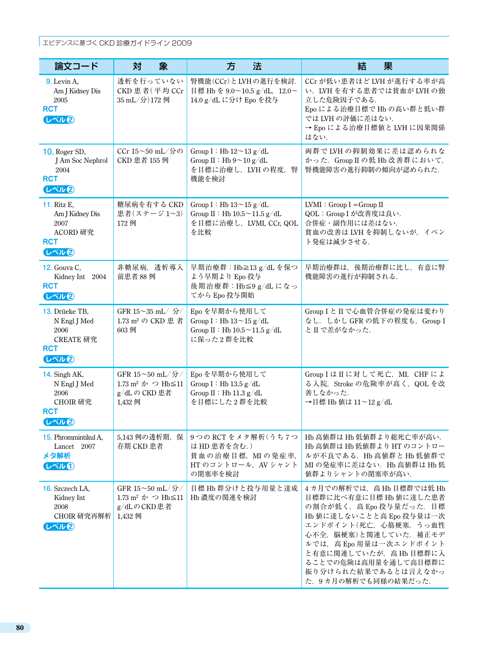#### エビデンスに基づく CKD 診療ガイドライン 2009

| 論文コード                                                                           | 象<br>対                                                                                          | 法<br>方                                                                                                 | 結<br>果                                                                                                                                                                                                                                                                              |
|---------------------------------------------------------------------------------|-------------------------------------------------------------------------------------------------|--------------------------------------------------------------------------------------------------------|-------------------------------------------------------------------------------------------------------------------------------------------------------------------------------------------------------------------------------------------------------------------------------------|
| 9. Levin A,<br>Am J Kidney Dis<br>2005<br><b>RCT</b><br>しべル図                    | 透析を行っていない<br>CKD 患者(平均 CCr<br>35 mL/分)172 例                                                     | 腎機能(CCr)とLVHの進行を検討.<br>目標 Hb を 9.0~10.5 g/dL, 12.0~<br>14.0 g/dL に分け Epo を投与                           | CCr が低い患者ほど LVH が進行する率が高<br>い. LVH を有する患者では貧血が LVH の独<br>立した危険因子である.<br>Epo による治療目標で Hb の高い群と低い群<br>では LVH の評価に差はない.<br>→ Epo による治療目標値と LVH に因果関係<br>はない.                                                                                                                           |
| <b>10.</b> Roger SD,<br>J Am Soc Nephrol<br>2004<br><b>RCT</b><br>しべル図          | CCr 15~50 mL/分の<br>CKD 患者 155 例                                                                 | Group I : Hb $12\!\simeq\!13$ g/dL<br>Group II : Hb $9 \sim 10$ g/dL<br>を目標に治療し、LVHの程度、腎<br>機能を検討      | 両群で LVH の抑制効果に差は認められな<br>かった. Group II の低 Hb 改善群において,<br>腎機能障害の進行抑制の傾向が認められた.                                                                                                                                                                                                       |
| <b>11.</b> Ritz E,<br>Am J Kidney Dis<br>2007<br>ACORD 研究<br><b>RCT</b><br>しべル図 | 糖尿病を有する CKD<br>患者(ステージ1~3)<br>172 例                                                             | Group I: Hb $13 \sim 15$ g/dL<br>Group II : Hb $10.5 \sim 11.5$ g/dL<br>を目標に治療し, LVMI, CCr, QOL<br>を比較 | $LVMI : Group I = Group II$<br>QOL: Group I が改善度は良い.<br>合併症·副作用には差はない.<br>貧血の改善は LVH を抑制しないが、イベン<br>ト発症は減少させる.                                                                                                                                                                      |
| 12. Gouva C,<br>Kidney Int 2004<br><b>RCT</b><br>しべル図                           | 非糖尿病, 透析導入<br>前患者 88 例                                                                          | 早期治療群: Hb≧13 g/dL を保つ<br>よう早期より Epo 投与<br>後期治療群:Hb≦9 g/dLになっ<br>てから Epo 投与開始                           | 早期治療群は、後期治療群に比し、有意に腎<br>機能障害の進行が抑制される.                                                                                                                                                                                                                                              |
| 13. Drüeke TB,<br>N Engl J Med<br>2006<br>CREATE 研究<br><b>RCT</b><br>しべル包       | GFR 15~35 mL/ 分/<br>1.73 m <sup>2</sup> の CKD 患 者<br>603 例                                      | Epo を早期から使用して<br>Group I: Hb $13 \sim 15$ g/dL<br>Group II : Hb $10.5 \sim 11.5$ g/dL<br>に保った2群を比較     | Group I と II で心血管合併症の発症は変わり<br>なし. しかし GFR の低下の程度も, Group I<br>と II で差がなかった.                                                                                                                                                                                                        |
| 14. Singh AK,<br>N Engl J Med<br>2006<br>CHOIR 研究<br><b>RCT</b><br>しべル図         | GFR 15~50 mL/分/<br>1.73 m <sup>2</sup> $\dot{\gamma}$ つ Hb $\leq$ 11<br>g/dLの CKD 患者<br>1,432 例 | Epo を早期から使用して<br>Group I: Hb $13.5 \text{ g}/\text{d}L$<br>Group II : Hb 11.3 $g/dL$<br>を目標にした2群を比較    | Group I は II に対して死亡, MI, CHF によ<br>る入院, Stroke の危険率が高く、QOLを改<br>善しなかった.<br>→目標 Hb 値は 11~12 g/dL                                                                                                                                                                                     |
| 15. Phrommintikul A.<br>Lancet 2007<br>メタ解析<br>しべルの                             | 5,143 例の透析期, 保<br>存期 CKD 患者                                                                     | 9つの RCT をメタ解析(うち7つ<br>は HD 患者を含む.)<br>貧血の治療目標, MIの発症率,<br>HT のコントロール, AV シャント<br>の閉塞率を検討               | Hb 高値群は Hb 低値群より総死亡率が高い.<br>Hb 高値群は Hb 低値群より HT のコントロー<br>ルが不良である. Hb 高値群と Hb 低値群で<br>MI の発症率に差はない. Hb 高値群は Hb 低<br>値群よりシャントの閉塞率が高い.                                                                                                                                                |
| 16. Szczech LA,<br>Kidney Int<br>2008<br>CHOIR 研究再解析<br>しべル2                    | GFR 15~50 mL/分/<br>1.73 m <sup>2</sup> $\dot{\gamma}$ つ Hb $\leq$ 11<br>g/dLのCKD患者<br>1,432 例   | 目標 Hb 群分けと投与用量と達成<br>Hb 濃度の関連を検討                                                                       | 4カ月での解析では、高Hb目標群では低Hb<br>目標群に比べ有意に目標 Hb 値に達した患者<br>の割合が低く、高 Epo 投与量だった. 目標<br>Hb 値に達しないことと高 Epo 投与量は一次<br>エンドポイント(死亡, 心筋梗塞, うっ血性<br>心不全, 脳梗塞)と関連していた. 補正モデ<br>ルでは、高 Epo 用量は一次エンドポイント<br>と有意に関連していたが、高Hb目標群に入<br>ることでの危険は高用量を通して高目標群に<br>振り分けられた結果であるとは言えなかっ<br>た. 9カ月の解析でも同様の結果だった. |